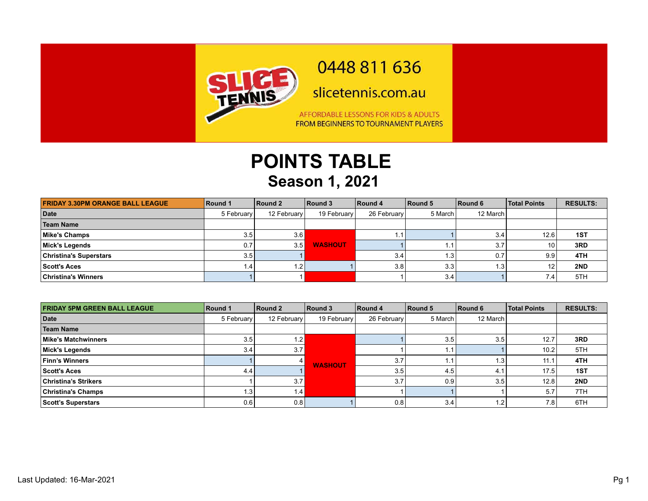

## 0448 811 636

slicetennis.com.au

AFFORDABLE LESSONS FOR KIDS & ADULTS FROM BEGINNERS TO TOURNAMENT PLAYERS

## **POINTS TABLE Season 1, 2021**

| <b>FRIDAY 3.30PM ORANGE BALL LEAGUE</b> | Round 1          | Round 2     | Round 3        | Round 4     | Round 5          | Round 6  | <b>Total Points</b> | <b>RESULTS:</b> |
|-----------------------------------------|------------------|-------------|----------------|-------------|------------------|----------|---------------------|-----------------|
| Date                                    | 5 February       | 12 February | 19 February    | 26 February | 5 March          | 12 March |                     |                 |
| <b>Team Name</b>                        |                  |             |                |             |                  |          |                     |                 |
| Mike's Champs                           | 3.5              | 3.6         |                | 1.1         |                  | 3.4      | 12.6                | 1ST             |
| Mick's Legends                          | 0.7              | 3.5         | <b>WASHOUT</b> |             |                  | 3.7      | 10                  | 3RD             |
| <b>Christina's Superstars</b>           | 3.5 <sub>1</sub> |             |                | 3.4         | 1.3 <sub>1</sub> | 0.7      | 9.9                 | 4TH             |
| Scott's Aces                            |                  | 1.2         |                | 3.8         | 3.3              | 1.3      | 12                  | 2ND             |
| <b>Christina's Winners</b>              |                  |             |                |             | 3.4              |          | 7.4                 | 5TH             |

| <b>FRIDAY 5PM GREEN BALL LEAGUE</b> | Round 1    | Round 2     | Round 3        | Round 4     | Round 5 | Round 6  | <b>Total Points</b> | <b>RESULTS:</b> |
|-------------------------------------|------------|-------------|----------------|-------------|---------|----------|---------------------|-----------------|
| Date                                | 5 February | 12 February | 19 February    | 26 February | 5 March | 12 March |                     |                 |
| <b>Team Name</b>                    |            |             |                |             |         |          |                     |                 |
| Mike's Matchwinners                 | 3.5        | 1.2         | <b>WASHOUT</b> |             | 3.5     | 3.5      | 12.7                | 3RD             |
| Mick's Legends                      | 3.4        | 3.7         |                |             |         |          | 10.2                | 5TH             |
| <b>Finn's Winners</b>               |            |             |                | 3.7         |         | .3'      | 11.7                | 4TH             |
| <b>Scott's Aces</b>                 | 4.4        |             |                | 3.5         | 4.5     | 4.       | 17.5                | 1ST             |
| <b>Christina's Strikers</b>         |            | 3.7         |                | 3.7         | 0.9     | 3.5      | 12.8                | 2ND             |
| <b>Christina's Champs</b>           |            | 1.4         |                |             |         |          | 5.7                 | 7TH             |
| Scott's Superstars                  | 0.6        | 0.8         |                | 0.8         | 3.4     | .2       | 7.8 <sub>1</sub>    | 6TH             |